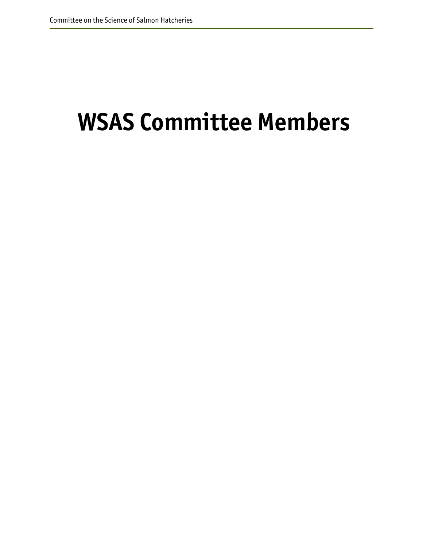# **WSAS Committee Members**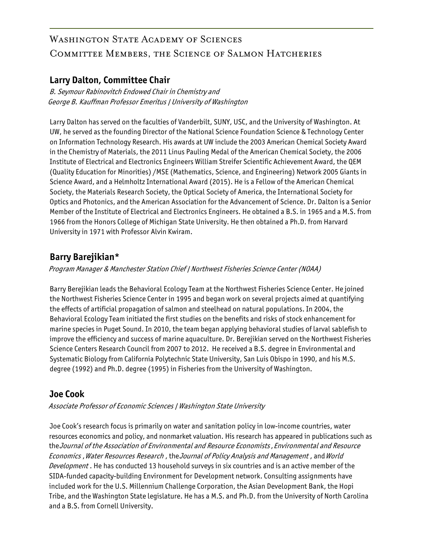## WASHINGTON STATE ACADEMY OF SCIENCES Committee Members, the Science of Salmon Hatcheries

## **Larry Dalton, Committee Chair**

 B. Seymour Rabinovitch Endowed Chair in Chemistry and George B. Kauffman Professor Emeritus | University of Washington

Larry Dalton has served on the faculties of Vanderbilt, SUNY, USC, and the University of Washington. At UW, he served as the founding Director of the National Science Foundation Science & Technology Center on Information Technology Research. His awards at UW include the 2003 American Chemical Society Award in the Chemistry of Materials, the 2011 Linus Pauling Medal of the American Chemical Society, the 2006 Institute of Electrical and Electronics Engineers William Streifer Scientific Achievement Award, the QEM (Quality Education for Minorities) /MSE (Mathematics, Science, and Engineering) Network 2005 Giants in Science Award, and a Helmholtz International Award (2015). He is a Fellow of the American Chemical Society, the Materials Research Society, the Optical Society of America, the International Society for Optics and Photonics, and the American Association for the Advancement of Science. Dr. Dalton is a Senior Member of the Institute of Electrical and Electronics Engineers. He obtained a B.S. in 1965 and a M.S. from 1966 from the Honors College of Michigan State University. He then obtained a Ph.D. from Harvard University in 1971 with Professor Alvin Kwiram.

## **Barry Barejikian\***

Program Manager & Manchester Station Chief | Northwest Fisheries Science Center (NOAA)

Barry Berejikian leads the Behavioral Ecology Team at the Northwest Fisheries Science Center. He joined the Northwest Fisheries Science Center in 1995 and began work on several projects aimed at quantifying the effects of artificial propagation of salmon and steelhead on natural populations. In 2004, the Behavioral Ecology Team initiated the first studies on the benefits and risks of stock enhancement for marine species in Puget Sound. In 2010, the team began applying behavioral studies of larval sablefish to improve the efficiency and success of marine aquaculture. Dr. Berejikian served on the Northwest Fisheries Science Centers Research Council from 2007 to 2012. He received a B.S. degree in Environmental and Systematic Biology from California Polytechnic State University, San Luis Obispo in 1990, and his M.S. degree (1992) and Ph.D. degree (1995) in Fisheries from the University of Washington.

## **Joe Cook**

Associate Professor of Economic Sciences | Washington State University

Joe Cook's research focus is primarily on water and sanitation policy in low-income countries, water resources economics and policy, and nonmarket valuation. His research has appeared in publications such as the Journal of the Association of Environmental and Resource Economists, Environmental and Resource Economics , Water Resources Research, the Journal of Policy Analysis and Management, and World Development. He has conducted 13 household surveys in six countries and is an active member of the SIDA-funded capacity-building Environment for Development network. Consulting assignments have included work for the U.S. Millennium Challenge Corporation, the Asian Development Bank, the Hopi Tribe, and the Washington State legislature. He has a M.S. and Ph.D. from the University of North Carolina and a B.S. from Cornell University.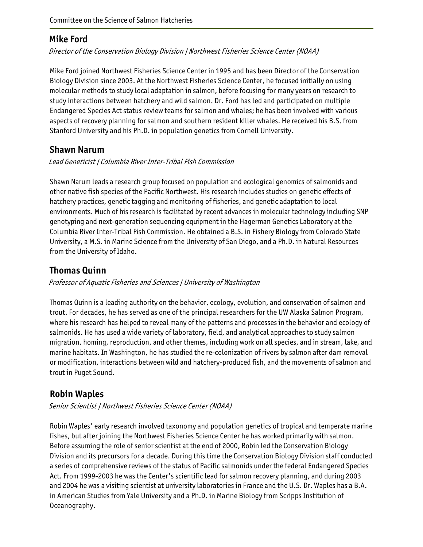## **Mike Ford**

Director of the Conservation Biology Division | Northwest Fisheries Science Center (NOAA)

Mike Ford joined Northwest Fisheries Science Center in 1995 and has been Director of the Conservation Biology Division since 2003. At the Northwest Fisheries Science Center, he focused initially on using molecular methods to study local adaptation in salmon, before focusing for many years on research to study interactions between hatchery and wild salmon. Dr. Ford has led and participated on multiple Endangered Species Act status review teams for salmon and whales; he has been involved with various aspects of recovery planning for salmon and southern resident killer whales. He received his B.S. from Stanford University and his Ph.D. in population genetics from Cornell University.

## **Shawn Narum**

#### Lead Geneticist | Columbia River Inter-Tribal Fish Commission

Shawn Narum leads a research group focused on population and ecological genomics of salmonids and other native fish species of the Pacific Northwest. His research includes studies on genetic effects of hatchery practices, genetic tagging and monitoring of fisheries, and genetic adaptation to local environments. Much of his research is facilitated by recent advances in molecular technology including SNP genotyping and next-generation sequencing equipment in the Hagerman Genetics Laboratory at the Columbia River Inter-Tribal Fish Commission. He obtained a B.S. in Fishery Biology from Colorado State University, a M.S. in Marine Science from the University of San Diego, and a Ph.D. in Natural Resources from the University of Idaho.

## **Thomas Quinn**

Professor of Aquatic Fisheries and Sciences | University of Washington

Thomas Quinn is a leading authority on the behavior, ecology, evolution, and conservation of salmon and trout. For decades, he has served as one of the principal researchers for the UW Alaska Salmon Program, where his research has helped to reveal many of the patterns and processes in the behavior and ecology of salmonids. He has used a wide variety of laboratory, field, and analytical approaches to study salmon migration, homing, reproduction, and other themes, including work on all species, and in stream, lake, and marine habitats. In Washington, he has studied the re-colonization of rivers by salmon after dam removal or modification, interactions between wild and hatchery-produced fish, and the movements of salmon and trout in Puget Sound.

## **Robin Waples**

#### Senior Scientist | Northwest Fisheries Science Center (NOAA)

Robin Waples' early research involved taxonomy and population genetics of tropical and temperate marine fishes, but after joining the Northwest Fisheries Science Center he has worked primarily with salmon. Before assuming the role of senior scientist at the end of 2000, Robin led the Conservation Biology Division and its precursors for a decade. During this time the Conservation Biology Division staff conducted a series of comprehensive reviews of the status of Pacific salmonids under the federal Endangered Species Act. From 1999-2003 he was the Center's scientific lead for salmon recovery planning, and during 2003 and 2004 he was a visiting scientist at university laboratories in France and the U.S. Dr. Waples has a B.A. in American Studies from Yale University and a Ph.D. in Marine Biology from Scripps Institution of Oceanography.